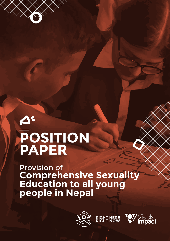# **POSITION PAPER**

Provision of **Comprehensive Sexuality Education to all young people in Nepal**



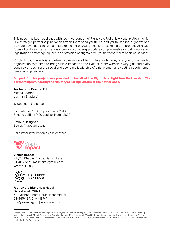This paper has been published with technical support of Right Here Right Now Nepal platform, which is a strategic partnership between fifteen likeminded youth-led and youth-serving organizationsi , that are advocating for enhanced experience of young people on sexual and reproductive health, focused on three thematic areas - provision of age-appropriate comprehensive sexuality education, legalization of marriage equality and provision of stigma-free, youth-friendly safe abortion services.

Visible Impact, which is a partner organization of Right Here Right Now, is a young women led organization that aims to bring visible impact on the lives of every women, every girls and every youth by unleashing the social and economic leadership of girls, women and youth through human centered approaches.

#### **Support for this project was provided on behalf of the Right Here Right Now Partnership. The partnership is funded by the Ministry of Foreign Affairs of the Netherlands.**

#### Authors for Second Edition

Medha Sharma Laxman Bhattarai

© Copyrights Reserved

First edition: (1000 copies), June 2018 Second edition: (600 copies), March 2020

#### Layout Designer

Saurav Thapa Shrestha

For further information please contact:



Visible Impact 212/48 Dhapasi Marga, Basundhara 01-4016563 || mail.visim@gmail.com www.visim.org



Right Here Right Now Nepal Secretariat: YUWA 310 Krishna Dhara Marga, Maharajgunj 01-4419489, 01-4418747 info@yuwa.org.np || www.yuwa.org.np

i Association of Youth Organizations Nepal (AYON), Beyond Beijing Committee(BBC), Blue Diamond Society (BDS), CDS- Park Mugu, Family Planning Association of Nepal (FPAN), Federation of Sexual and Gender Minorities Nepal (FSGMN), Human Development and Environment Protection Forum (HUDEP), LOOM Nepal, Restless Development, Rural Women's Network Nepal (RUWON), Visible Impact, Youth Action Nepal (YAN), Youth Development Center (YDC), YUWA, Yuwalaya.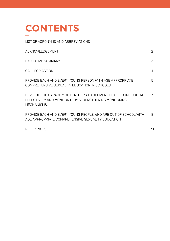

| LIST OF ACRONYMS AND ABBREVIATIONS                                                                                                      | 1 |
|-----------------------------------------------------------------------------------------------------------------------------------------|---|
| ACKNOWLEDGEMENT                                                                                                                         | 2 |
| EXECUTIVE SUMMARY                                                                                                                       | 3 |
| CALL FOR ACTION                                                                                                                         | 4 |
| PROVIDE FACH AND EVERY YOUNG PERSON WITH AGE APPROPRIATE<br>COMPREHENSIVE SEXUALITY EDUCATION IN SCHOOLS                                | 5 |
| DEVELOP THE CAPACITY OF TEACHERS TO DELIVER THE CSE CURRICULUM<br>EFFECTIVELY AND MONITOR IT BY STRENGTHENING MONITORING<br>MECHANISMS. | 7 |
| PROVIDE EACH AND EVERY YOUNG PEOPLE WHO ARE OUT OF SCHOOL WITH<br>AGE APPROPRIATE COMPREHENSIVE SEXUALITY EDUCATION                     | 8 |

REFERENCES

11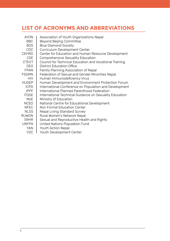# **LIST OF ACRONYMS AND ABBREVIATIONS**

| AYON         | Association of Youth Organizations Nepal                |
|--------------|---------------------------------------------------------|
| BBC.         | Beyond Beijing Committee                                |
| <b>BDS</b>   | <b>Blue Diamond Society</b>                             |
| CDC          | Curriculum Development Center                           |
| CEHRD        | Center for Education and Human Resource Development     |
| <b>CSE</b>   | Comprehensive Sexuality Education                       |
| <b>CTEVT</b> | Council for Technical Education and Vocational Training |
| <b>DEO</b>   | District Education Office                               |
| <b>FPAN</b>  | Family Planning Association of Nepal                    |
| <b>FSGMN</b> | Federation of Sexual and Gender Minorities Nepal        |
| <b>HIV</b>   | Human Immunodeficiency Virus                            |
| <b>HUDEP</b> | Human Development and Environment Protection Forum      |
| <b>ICPD</b>  | International Conference on Population and Development  |
| <b>IPPF</b>  | International Planned Parenthood Federation             |
| <b>ITGSE</b> | International Technical Guidance on Sexuality Education |
| MoE          | Ministry of Education                                   |
| <b>NCED</b>  | National Centre for Educational Development             |
| <b>NFEC</b>  | Non Formal Education Center                             |
| <b>NLSS</b>  | Nepal Living Standard Survey                            |
| RUWON        | Rural Women's Network Nepal                             |
| <b>SRHR</b>  | Sexual and Reproductive Health and Rights               |
| <b>UNFPA</b> | United Nations Population Fund                          |
| <b>YAN</b>   | Youth Action Nepal                                      |
|              |                                                         |

YDC Youth Development Center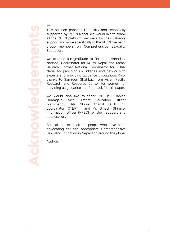**Acknowledgements** ement **PIWIO** Ackno

This position paper is financially and technically supported by RHRN Nepal. We would like to thank all the RHRN platform members for their valuable support and more specifically to the RHRN thematic group members on Comprehensive Sexuality Education.

We express our gratitude to Rajendra Maharjan, National Coordinator for RHRN Nepal and Kamal Gautam, Former National Coordinator for RHRN Nepal for providing us linkages and networks to experts and providing guidance throughout. Also, thanks to Samreen Shahbaz from Asian Pacific Research and Resource Center for Women for providing us guidance and feedback for this paper.

We would also like to thank Mr. Devi Ranjan Humagain, Vice District Education Officer (Kathmandu), Ms. Shova Khanal, GESI unit coordinator (CTEVT) and Mr. Dinesh Ghimire, Information Officer (NFEC) for their support and cooperation.

Special thanks to all the people who have been advocating for age appropriate Comprehensive Sexuality Education in Nepal and around the globe.

Authors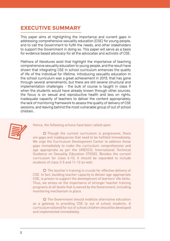# **EXECUTIVE SUMMARY**

This paper aims at highlighting the importance and current gaps in addressing comprehensive sexuality education (CSE) for young people, and to call the Government to fulfill the needs, and other stakeholders to support the Government in doing so. This paper will serve as a basis for evidence based advocacy for all the advocates and activists of CSE.

Plethora of literatures exist that highlight the importance of teaching comprehensive sexuality education to young people, and the result have shown that integrating CSE in school curriculum enhances the quality of life of the individual for lifetime. Introducing sexuality education in the school curriculum was a great achievement in 2013, that has gone through several amendments, but there are still several structural and implementation challenges - the bulk of course is taught in class 9 when the students would have already known through other sources. the focus is on sexual and reproductive health and less on rights, inadequate capacity of teachers to deliver the content appropriately. the lack of monitoring framework to assess the quality of delivery of CSE sessions, and leaving behind the most vulnerable group of out of school children.



Hence, the following actions have been called upon:

 $\Omega$  Though the current curriculum is progressive, there are gaps and inadequacies that need to be fulfilled immediately. We urge the Curriculum Development Center to address these gaps immediately to make the curriculum comprehensive and age appropriate as per the UNESCO, International Technical Guidance on Sexuality Education (ITGSE). Besides the current curriculum for class 6-10, it should be expanded to include students of class 3-5 and 11-12 as well.

O The teacher's training is crucial for effective delivery of CSE. In fact, building teacher capacity to deliver age-appropriate CSE, is proven to support the development of learners' life skills. Thus, we stress on the importance of stronger teacher training programs at all levels that is owned by the Government, including monitoring mechanism in place.

O The Government should mobilize alternative education as a gateway to providing CSE to out of school students. A curriculum tailored for out of school children should be developed and implemented immediately.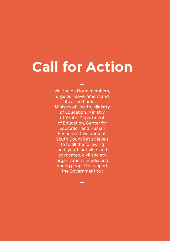# **Call for Action**

We, the platform members, urge our Government and its allied bodies - Ministry of Health, Ministry of Education, Ministry of Youth, Department of Education, Center for Education and Human Resource Development, Youth Council at all levels to fulfill the following and; youth activists and advocates, civil society organizations, media and young people to support the Government to :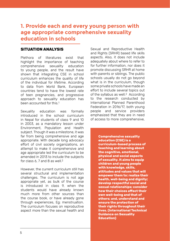## **1. Provide each and every young person with age appropriate comprehensive sexuality education in schools**

#### **SITUATION ANALYSIS**

Plethora of literatures exist that highlight the importance of teaching comprehensive sexuality education to young people, and the result have shown that integrating CSE in school curriculum enhances the quality of life of the individual for lifetime. According to data from World Bank, European countries tend to have the lowest rate of teen pregnancies, and progressive approach to sexuality education has been accounted for this.<sup>1</sup>

Sexuality education was formally introduced in the school curriculum in Nepal for students of class 9 and 10 in 2003, as a mandatory lesson under Environment, Population and Health subject. Though it was a milestone, it was far from being comprehensive and age appropriate. With decade long advocacy effort of civil society organizations, an attempt to make it comprehensive and age appropriate led the curriculum to be amended in 2013 to include the subjects for class 6, 7 and 8 as well  $2$ 

However, the current curriculum still has several structural and implementation challenges. The curriculum is not age appropriate yet, as bulk of the course is introduced in class 9, when the students would have already known much more from other sources than the course book, or have already gone through experiences, Eg: menstruation. The curriculum focuses on reproductive aspect more than the sexual health and

Sexual and Reproductive Health and Rights (SRHR) based life skills aspects. Also, it does not include adequately about where to refer to for further information, nor does it promote discussing SRHR at home with parents or siblings. The public schools usually do not go beyond what is in the curriculum, though some private schools have made an effort to include several topics out of the syllabus as well.<sup>2</sup> According to the research conducted by International Planned Parenthood Federation in 2016/17, both young people and service providers emphasized that they are in need of access to more comprehensive,

> **Comprehensive sexuality education (CSE) is a curriculum-based process of teaching and learning about the cognitive, emotional, physical and social aspects of sexuality. It aims to equip children and young people with knowledge, skills, attitudes and values that will empower them to: realize their health, well-being and dignity; develop respectful social and sexual relationships; consider how their choices affect their own well-being and that of others; and, understand and ensure the protection of their rights throughout their lives. (International Technical Guidance on Sexuality Education)**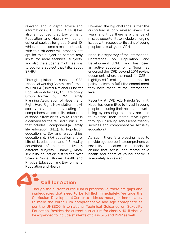relevant, and in depth advice and information.3 CDC (Now CEHRD) has also announced that Environment, Population and Health will be an optional subject for grade 9 and 10, which can become a major set back. With this, students will probably not opt for this subject as parents may insist for more technical subjects, and also the students might feel shy to opt for a subject that talks about SRHR.4

Through platforms such as CSE Technical Working Committee formed by UNFPA (United National Fund for Population Activities), CSE Advocacy Group formed by FPAN (Family Planning Association of Nepal), and Right Here Right Now platform, civil society have been advocating for comprehensive sexuality education at schools from class 3 to 12. There is a demand for the revised curriculum that includes 6 component (a. Family life education (FLE), b. Population education, c. Sex and relationships education, d. SRH education and e. Life skills education, and f. Sexuality education) of comprehensive 6 different subjects – namely, Moral sexuality education distributed over Science, Social Studies, Health and Physical Education and Environment, Population and Health.

However, the big challenge is that the curriculum is only revised every five years and thus there is a chance of missed opportunity to include emerging issues with respect to life skills of young people's sexuality and SRH.

Nepal is a signatory of the International<br>Conference on Population and on Population and Development (ICPD) and has been an active supporter of it. Nepal has endorsed the ICPD beyond 2014 review document, where the need for CSE is highlighted,5 making it important for policy makers to fulfill the commitment they have made at the international level.

Recently at ICPD +25 Nairobi Summit, Nepal has committed to invest in young people including their health and wellbeing by ensuring that they are able to exercise their reproductive rights through upscaling adolescent-friendly services and comprehensive sexuality education 6

As such, there is a pressing need to provide age appropriate comprehensive sexuality education in schools to ensure that sexual and reproductive health and rights of young people is adequately addressed.

# **Call for Action**

Though the current curriculum is progressive, there are gaps and inadequacies that need to be fulfilled immediately. We urge the Curriculum Development Center to address these gaps immediately to make the curriculum comprehensive and age appropriate as per the UNESCO, International Technical Guidance on Sexuality Education. Besides the current curriculum for class 6-10, it should be expanded to include students of class 3-5 and 11-12 as well.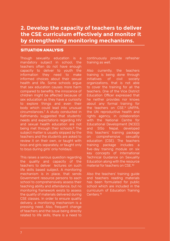# **2. Develop the capacity of teachers to deliver the CSE curriculum effectively and monitor it by strengthening monitoring mechanisms.**

#### **SITUATION ANALYSIS**

Though sexuality education is a mandatory subject in school, the teachers often do not have enough capacity to deliver to youth the information they need to make health and life. Some schools argue that sex education causes more harm compared to benefits; the innocence of children might be affected because of sex education as they have a curiosity to explore things and even their body which could lead into unusual circumstances.7 A study conducted in Kathmandu suggested that students' needs and expectations regarding HIV and sexual health education are not being met through their schools.8 The subject matter is usually skipped by the teachers and the students are asked to review it on their own, or taught with boys and girls separately, or taught only to boys during girls' only holidays.

This raises a serious question regarding the quality and capacity of the teachers to deliver lectures on such life skills based subject. A monitoring mechanism is in place, that sends Government resource persons to each school to comprehensively assess their teaching ability and attendance, but no monitoring framework exists to assess the quality of materials delivered during CSE classes. In order to ensure quality delivery, a monitoring mechanism is a pressing need. Also, frequent change of teachers and the issue being directly related to life skills, there is a need to

continuously provide refresher training as well.

Also currently, the teachers training is being done through initiatives of civil society organizations, that is not able to cover the training for all the teachers. One of the Vice District Education Officer expressed that about any formal training for the teachers on CSE.9 UNFPA, the UN reproductive health and rights agency, in collaboration with the National Centre for Educational Development (NCED) and SISo Nepal, developed this teachers' training package on comprehensive sexuality education (CSE). The teachers training package includes a five-day training module on six key concepts of International Technical Guidance on Sexuality Education along with the resource material for teachers on CSE.10

Also the teachers' training guide and teachers reading materials has been formulated for public school which are included in the curriculum of Education Training Centers.11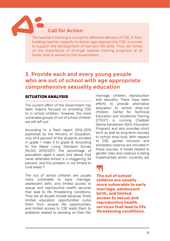#### **Call for Action**

The teacher's training is crucial for effective delivery of CSE. In fact, building teacher capacity to deliver age-appropriate CSE, is proven to support the development of learners' life skills. Thus, we stress on the importance of stronger teacher training programs at all levels, that is owned by the Government.

### **3. Provide each and every young people who are out of school with age appropriate comprehensive sexuality education**

#### **SITUATION ANALYSIS**

The current effort of the Government has been majorly focused on providing CSE to in school children. However, the more vulnerable groups of out of school children are still left out.

According to a flash report 2012-2013 published by the Ministry of Education, only 69.4 percent of the students enrolled in grade 1 make it to grade 8. According to the Nepal Living Standard Survey (NLSS) 2010/2011, the percentage of population aged 6 years and above that never attended school is a staggering 34 percent, and this problem is not limited to rural areas.12

The out of school children are usually more vulnerable to early marriage, adolescent birth, and limited access to sexual and reproductive health services that lead to life threatening conditions. They are at double trouble because, firstly limited education opportunities curbs them from several life opportunities and limited access to CSE leads them to problems related to deciding on their life,

marriage, children, reproduction and sexuality. There have been efforts to provide alternative education to school drop-out children. Center for Technical Education and Vocational Training (CTEVT) is running Chelibeti Siksha Karyekram (Girls Education Program) and also provides short term as well as long term courses to school drop-outs. With respect to CSE, gender inclusion and workplace violence are included in these courses. A model related to gender roles and violence is being implemented which currently are

"T1<br>The<br>chi **The out of school children are usually more vulnerable to early marriage, adolescent birth, and limited access to sexual and reproductive health services that lead to life threatening conditions.**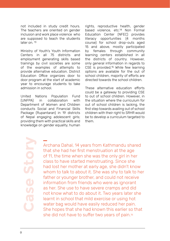not included in study credit hours. The teachers are oriented on gender inclusion and work place violence who are supposed to teach the students later on. 13

Ministry of Youth's Youth Information Centers in all 75 districts and employment generating skills based trainings by civil societies are some of the examples of attempts to provide alternative education. District Education Office organizes door to door program at the start of academic year to encourage students to take admission in school.

United Nations Population Fund (UNFPA) in collaboration with Department of Women and Children conducts Social and Financial Skills Package (Rupantaran) in 19 districts of Nepal engaging adolescent girls; providing them with practical skills and knowledge on gender equality, human rights, reproductive health, gender based violence, etc.14 Non Formal Education Center (NFEC) provides literacy opportunities (4 months course) for school drop-outs aged 15 and above, mostly participated by females through community learning centers established in all the districts of country. However, only general information in regards to CSE is provided.15 While few learning options are available for the out of school children, majority of efforts are directed towards the school children.

These alternative education efforts could be a gateway to providing CSE to out of school children. However, in the situation where the curriculum for out of school children is lacking, the first step towards availing out of school children with their right to SRHR would be to develop a curriculum targeted to them.

**Case Story**

Archana Dahal, 14 years from Kathmandu shared that she had her first menstruation at the age of 11, the time when she was the only girl in her class to have started menstruating. Since she had lost her mother at early age, she didn't know whom to talk to about it. She was shy to talk to her father or younger brother, and could not receive information from friends who were as ignorant as her. She use to have severe cramps and did not know what to do about it. Two years later she learnt in school that mild exercise or using hot water bag would have easily reduced her pain. She hopes that she had known this earlier so that she did not have to suffer two years of pain. 16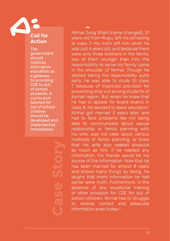# **Call for Action**

The government should mobilize alternative education as a gateway to providing CSE to out of school students. A curriculum tailored for out of school children should be developed and implemented immediately.

Nirmal Jung Shahi (name changed), 21 years old from Mugu, left his schooling at class 7. His mom left him when he was just 6 years old, and because there were only three brothers in the family, two of them younger than him, the responsibility to serve his family came in the shoulder of Nirmal. Though he started taking the responsibility quite early, he was able to study till class 7 because of improved provision for preventing drop out among students of Karnali region. But when he knew that he has to appear for board exams in class 8, he decided to leave education. Nirmal got married 3 years later, and had to face problems like not being able to communicate about sexual relationship or family planning with his wife, was not clear about various methods of family planning, or knew that his wife also seeked pleasure as much as him. If he needed any information, his friends would be his source of the information. Now that he has been married for almost 8 years and knows many things by doing, he laughs that many information he had earlier were myth. Furthermore, in the absence of any vocational training or other provision for CSE for out of school children, Nirmal has to struggle to receive correct and adequate information even today.17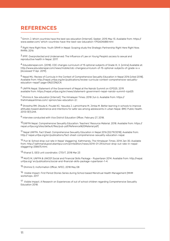#### **REFERENCES**

 $1$  Simrin J. Which countries have the best sex education [Internet]. Seeker; 2015 May 13. Available from: https:// www.seeker.com/ which-countries-have-the-best-sex-education-1792604688.html

2 Right Here Right Now. Youth SRHR in Nepal: Scoping study the Strategic Partnership Right Here Right Now. RHRN; 2016

3 IPPF. Overprotected and Underserved: The Influence of Law on Young People's access to sexual and reproductive health in Nepal. 2017.

4 Educatenepal.com. (2018). CDC changes curriculum of 15 optional subjects of Grade IX, X. [online] Available at: http://www.educatenepal.com/news/mobile/cdc-changescurriculum-of-15-optional-subjects-of-grade-ix-x [Accessed 17 Apr. 2019].

5 Nepal MU. Review of Curricula in the Context of Comprehensive Sexuality Education in Nepal 2016 [cited 2018]. Available from: http://nepal.unfpa.org/en/publications/review-curricula-context-comprehensive-sexualityeducation-nepal? page=0%2C0%2C4.

6 UNFPA Nepal. Statement of the Government of Nepal at the Nairobi Summit on ICPD25. 2019. available from: https://nepal.unfpa.org/en/news/statement-government-nepal-nairobi-summit-icpd25

7 Ghimire A. Sex education [Internet]. The Himalayan Times; 2018 Jun 6. Available from: https:// thehimalayantimes.com/ opinion/sex-education-2/.

8 Shrestha RM, Otsuka K, Poudel KC, Yasuoka J, Lamichhane M, Jimba M. Better learning in schools to improve attitudes toward abstinence and intentions for safer sex among adolescents in urban Nepal. BMC Public Health. 2013;13(1):244.

9 Interview conducted with Vice District Education Officer, February 27, 2018.

10UNFPA Nepal. Comprehensive Sexuality Education: Teachers' Resource Material. 2018. Available from: https:// nepal.unfpa.org/sites/default/files/pub-pdf/Reference%20Material.pdf)

11 Nepal UNFPA. Fact Sheet: Comprehensive Sexuality Education in Nepal 2016 [02/19/2018]. Available from: http:// nepal.unfpa.org/en/publications/fact-sheet-comprehensive-sexuality-education-nepal.

12 Pun W. School drop-out rate in Nepal 'staggering'. Kathmandu: The Himalayan Times; 2014 Jan 30. Available from: http:// kathmandupost.ekantipur.com/printedition/news/2014-01-29/school-drop-out-rate-in-nepalstaggering-258675.html.

13 Khanal S, GESI unit coordinator, CTEVT, 2018 Mar 23

14 MoYS M, UNFPA & UNICEF.Social and Financial Skills Package - Rupantaran 2014. Available from: http://nepal. unfpa.org/ en/publications/social-and-financial-skills-package-rupantaran-1-4.

15 Ghimire D, Inoformation Officer, NFEC, 2018 May 08

16 Visible Impact. First Period Stories Series during School based Menstrual Health Management (MHM workshops. 2017

<sup>17</sup> Visible Impact. A Research on Experiences of out of school children regarding Comprehensive Sexuality Education 2018.